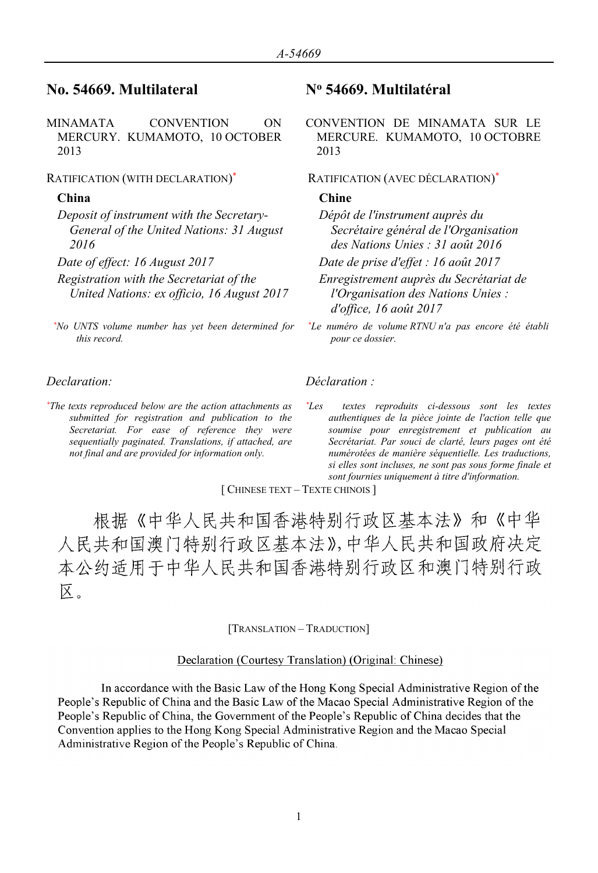# **No. 54669. Multilateral N<sup>o</sup> 54669. Multilatéral**

MINAMATA CONVENTION ON MERCURY. KUMAMOTO, 10 OCTOBER 2013

## RATIFICATION (WITH DECLARATION)

*Deposit of instrument with the Secretary-General of the United Nations: 31 August 2016*

- 
- *Registration with the Secretariat of the United Nations: ex officio, 16 August 2017*
- *\*No UNTS volume number has yet been determined for this record.*

*\*The texts reproduced below are the action attachments as submitted for registration and publication to the Secretariat. For ease of reference they were sequentially paginated. Translations, if attached, are not final and are provided for information only.*

CONVENTION DE MINAMATA SUR LE MERCURE. KUMAMOTO, 10 OCTOBRE 2013

# \* RATIFICATION (AVEC DÉCLARATION) \*

### **China Chine**

*Dépôt de l'instrument auprès du Secrétaire général de l'Organisation des Nations Unies : 31 août 2016*

*Date of effect: 16 August 2017 Date de prise d'effet : 16 août 2017*

*Enregistrement auprès du Secrétariat de l'Organisation des Nations Unies : d'office, 16 août 2017*

*\*Le numéro de volume RTNU n'a pas encore été établi pour ce dossier.*

## *Declaration: Déclaration :*

*\*Les textes reproduits ci-dessous sont les textes authentiques de la pièce jointe de l'action telle que soumise pour enregistrement et publication au Secrétariat. Par souci de clarté, leurs pages ont été numérotées de manière séquentielle. Les traductions, si elles sont incluses, ne sont pas sous forme finale et sont fournies uniquement à titre d'information.*

[ CHINESE TEXT – TEXTE CHINOIS ]

根据《中华人民共和国香港特别行政区基本法》和《中华 人民共和国澳门特别行政区基本法》,中华人民共和国政府决定 本公约适用于中华人民共和国香港特别行政区和澳门特别行政 区。

[TRANSLATION – TRADUCTION]

### Declaration (Courtesy Translation) (Original: Chinese)

In accordance with the Basic Law of the Hong Kong Special Administrative Region of the People's Republic of China and the Basic Law of the Macao Special Administrative Region of the People's Republic of China, the Government of the People's Republic of China decides that the Convention applies to the Hong Kong Special Administrative Region and the Macao Special Administrative Region of the People's Republic of China.